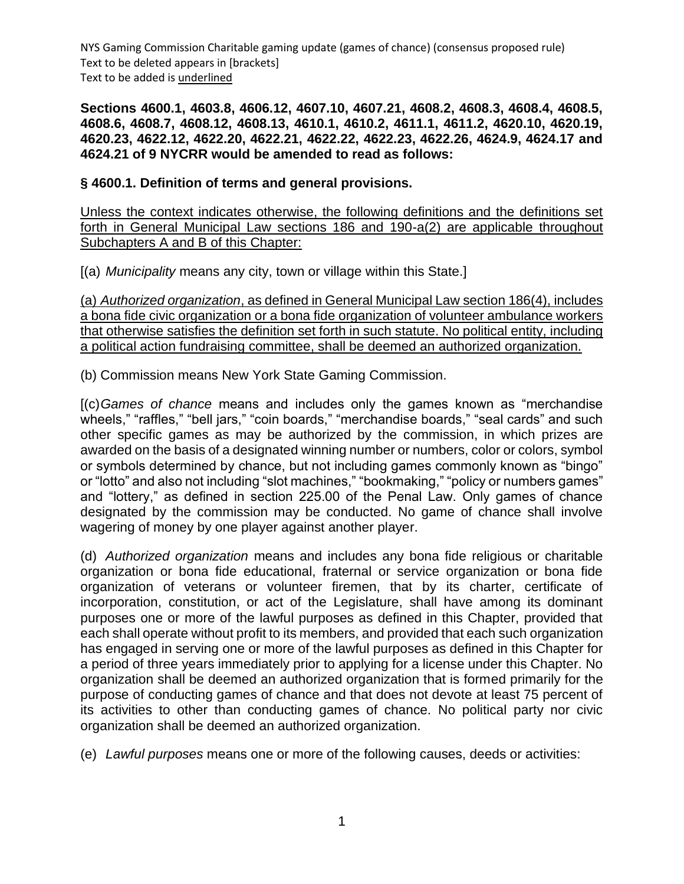**Sections 4600.1, 4603.8, 4606.12, 4607.10, 4607.21, 4608.2, 4608.3, 4608.4, 4608.5, 4608.6, 4608.7, 4608.12, 4608.13, 4610.1, 4610.2, 4611.1, 4611.2, 4620.10, 4620.19, 4620.23, 4622.12, 4622.20, 4622.21, 4622.22, 4622.23, 4622.26, 4624.9, 4624.17 and 4624.21 of 9 NYCRR would be amended to read as follows:**

## **§ 4600.1. Definition of terms and general provisions.**

Unless the context indicates otherwise, the following definitions and the definitions set forth in General Municipal Law sections 186 and 190-a(2) are applicable throughout Subchapters A and B of this Chapter:

[(a) *Municipality* means any city, town or village within this State.]

(a) *Authorized organization*, as defined in General Municipal Law section 186(4), includes a bona fide civic organization or a bona fide organization of volunteer ambulance workers that otherwise satisfies the definition set forth in such statute. No political entity, including a political action fundraising committee, shall be deemed an authorized organization.

(b) Commission means New York State Gaming Commission.

[(c)*Games of chance* means and includes only the games known as "merchandise wheels," "raffles," "bell jars," "coin boards," "merchandise boards," "seal cards" and such other specific games as may be authorized by the commission, in which prizes are awarded on the basis of a designated winning number or numbers, color or colors, symbol or symbols determined by chance, but not including games commonly known as "bingo" or "lotto" and also not including "slot machines," "bookmaking," "policy or numbers games" and "lottery," as defined in section 225.00 of the Penal Law. Only games of chance designated by the commission may be conducted. No game of chance shall involve wagering of money by one player against another player.

(d) *Authorized organization* means and includes any bona fide religious or charitable organization or bona fide educational, fraternal or service organization or bona fide organization of veterans or volunteer firemen, that by its charter, certificate of incorporation, constitution, or act of the Legislature, shall have among its dominant purposes one or more of the lawful purposes as defined in this Chapter, provided that each shall operate without profit to its members, and provided that each such organization has engaged in serving one or more of the lawful purposes as defined in this Chapter for a period of three years immediately prior to applying for a license under this Chapter. No organization shall be deemed an authorized organization that is formed primarily for the purpose of conducting games of chance and that does not devote at least 75 percent of its activities to other than conducting games of chance. No political party nor civic organization shall be deemed an authorized organization.

(e) *Lawful purposes* means one or more of the following causes, deeds or activities: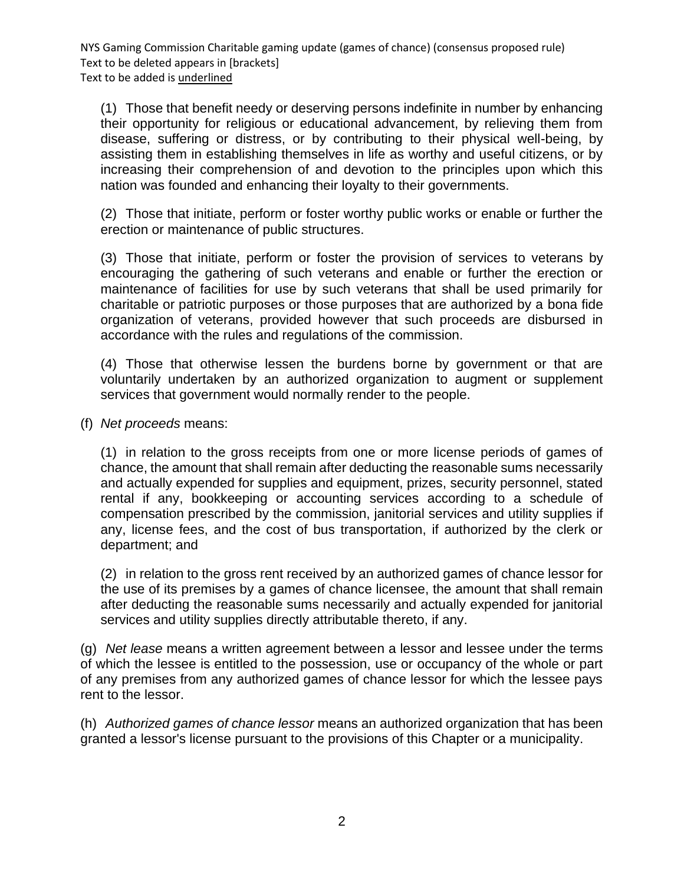(1) Those that benefit needy or deserving persons indefinite in number by enhancing their opportunity for religious or educational advancement, by relieving them from disease, suffering or distress, or by contributing to their physical well-being, by assisting them in establishing themselves in life as worthy and useful citizens, or by increasing their comprehension of and devotion to the principles upon which this nation was founded and enhancing their loyalty to their governments.

(2) Those that initiate, perform or foster worthy public works or enable or further the erection or maintenance of public structures.

(3) Those that initiate, perform or foster the provision of services to veterans by encouraging the gathering of such veterans and enable or further the erection or maintenance of facilities for use by such veterans that shall be used primarily for charitable or patriotic purposes or those purposes that are authorized by a bona fide organization of veterans, provided however that such proceeds are disbursed in accordance with the rules and regulations of the commission.

(4) Those that otherwise lessen the burdens borne by government or that are voluntarily undertaken by an authorized organization to augment or supplement services that government would normally render to the people.

(f) *Net proceeds* means:

(1) in relation to the gross receipts from one or more license periods of games of chance, the amount that shall remain after deducting the reasonable sums necessarily and actually expended for supplies and equipment, prizes, security personnel, stated rental if any, bookkeeping or accounting services according to a schedule of compensation prescribed by the commission, janitorial services and utility supplies if any, license fees, and the cost of bus transportation, if authorized by the clerk or department; and

(2) in relation to the gross rent received by an authorized games of chance lessor for the use of its premises by a games of chance licensee, the amount that shall remain after deducting the reasonable sums necessarily and actually expended for janitorial services and utility supplies directly attributable thereto, if any.

(g) *Net lease* means a written agreement between a lessor and lessee under the terms of which the lessee is entitled to the possession, use or occupancy of the whole or part of any premises from any authorized games of chance lessor for which the lessee pays rent to the lessor.

(h) *Authorized games of chance lessor* means an authorized organization that has been granted a lessor's license pursuant to the provisions of this Chapter or a municipality.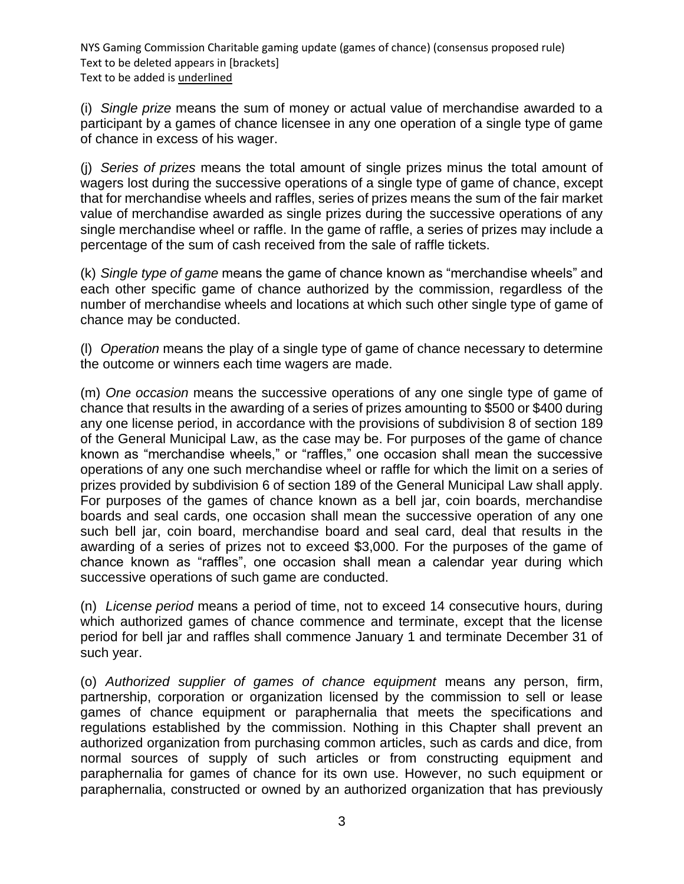(i) *Single prize* means the sum of money or actual value of merchandise awarded to a participant by a games of chance licensee in any one operation of a single type of game of chance in excess of his wager.

(j) *Series of prizes* means the total amount of single prizes minus the total amount of wagers lost during the successive operations of a single type of game of chance, except that for merchandise wheels and raffles, series of prizes means the sum of the fair market value of merchandise awarded as single prizes during the successive operations of any single merchandise wheel or raffle. In the game of raffle, a series of prizes may include a percentage of the sum of cash received from the sale of raffle tickets.

(k) *Single type of game* means the game of chance known as "merchandise wheels" and each other specific game of chance authorized by the commission, regardless of the number of merchandise wheels and locations at which such other single type of game of chance may be conducted.

(l) *Operation* means the play of a single type of game of chance necessary to determine the outcome or winners each time wagers are made.

(m) *One occasion* means the successive operations of any one single type of game of chance that results in the awarding of a series of prizes amounting to \$500 or \$400 during any one license period, in accordance with the provisions of subdivision 8 of section 189 of the General Municipal Law, as the case may be. For purposes of the game of chance known as "merchandise wheels," or "raffles," one occasion shall mean the successive operations of any one such merchandise wheel or raffle for which the limit on a series of prizes provided by subdivision 6 of section 189 of the General Municipal Law shall apply. For purposes of the games of chance known as a bell jar, coin boards, merchandise boards and seal cards, one occasion shall mean the successive operation of any one such bell jar, coin board, merchandise board and seal card, deal that results in the awarding of a series of prizes not to exceed \$3,000. For the purposes of the game of chance known as "raffles", one occasion shall mean a calendar year during which successive operations of such game are conducted.

(n) *License period* means a period of time, not to exceed 14 consecutive hours, during which authorized games of chance commence and terminate, except that the license period for bell jar and raffles shall commence January 1 and terminate December 31 of such year.

(o) *Authorized supplier of games of chance equipment* means any person, firm, partnership, corporation or organization licensed by the commission to sell or lease games of chance equipment or paraphernalia that meets the specifications and regulations established by the commission. Nothing in this Chapter shall prevent an authorized organization from purchasing common articles, such as cards and dice, from normal sources of supply of such articles or from constructing equipment and paraphernalia for games of chance for its own use. However, no such equipment or paraphernalia, constructed or owned by an authorized organization that has previously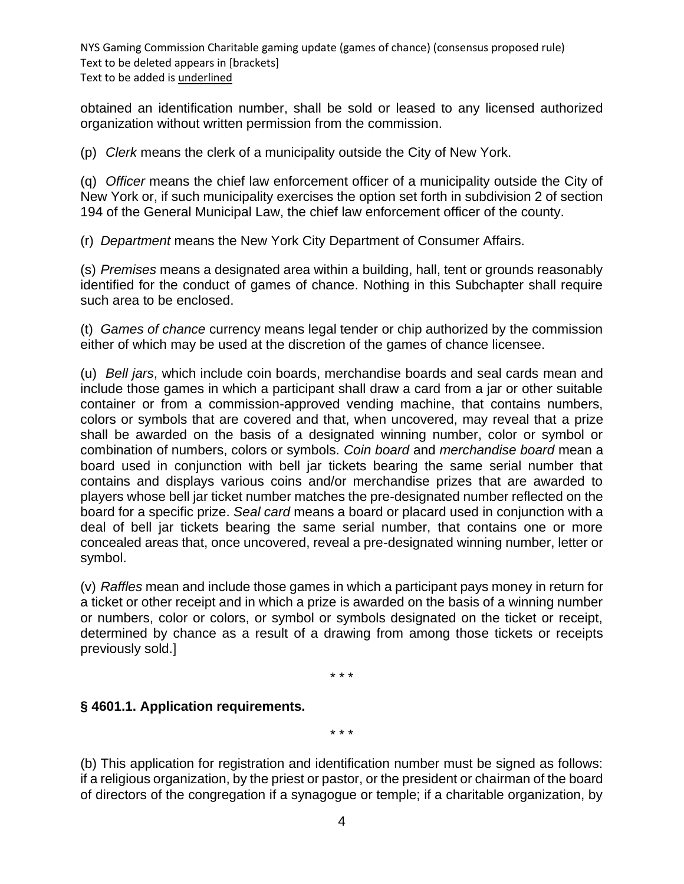obtained an identification number, shall be sold or leased to any licensed authorized organization without written permission from the commission.

(p) *Clerk* means the clerk of a municipality outside the City of New York.

(q) *Officer* means the chief law enforcement officer of a municipality outside the City of New York or, if such municipality exercises the option set forth in subdivision 2 of section 194 of the General Municipal Law, the chief law enforcement officer of the county.

(r) *Department* means the New York City Department of Consumer Affairs.

(s) *Premises* means a designated area within a building, hall, tent or grounds reasonably identified for the conduct of games of chance. Nothing in this Subchapter shall require such area to be enclosed.

(t) *Games of chance* currency means legal tender or chip authorized by the commission either of which may be used at the discretion of the games of chance licensee.

(u) *Bell jars*, which include coin boards, merchandise boards and seal cards mean and include those games in which a participant shall draw a card from a jar or other suitable container or from a commission-approved vending machine, that contains numbers, colors or symbols that are covered and that, when uncovered, may reveal that a prize shall be awarded on the basis of a designated winning number, color or symbol or combination of numbers, colors or symbols. *Coin board* and *merchandise board* mean a board used in conjunction with bell jar tickets bearing the same serial number that contains and displays various coins and/or merchandise prizes that are awarded to players whose bell jar ticket number matches the pre-designated number reflected on the board for a specific prize. *Seal card* means a board or placard used in conjunction with a deal of bell jar tickets bearing the same serial number, that contains one or more concealed areas that, once uncovered, reveal a pre-designated winning number, letter or symbol.

(v) *Raffles* mean and include those games in which a participant pays money in return for a ticket or other receipt and in which a prize is awarded on the basis of a winning number or numbers, color or colors, or symbol or symbols designated on the ticket or receipt, determined by chance as a result of a drawing from among those tickets or receipts previously sold.]

\* \* \*

#### **§ 4601.1. Application requirements.**

\* \* \*

(b) This application for registration and identification number must be signed as follows: if a religious organization, by the priest or pastor, or the president or chairman of the board of directors of the congregation if a synagogue or temple; if a charitable organization, by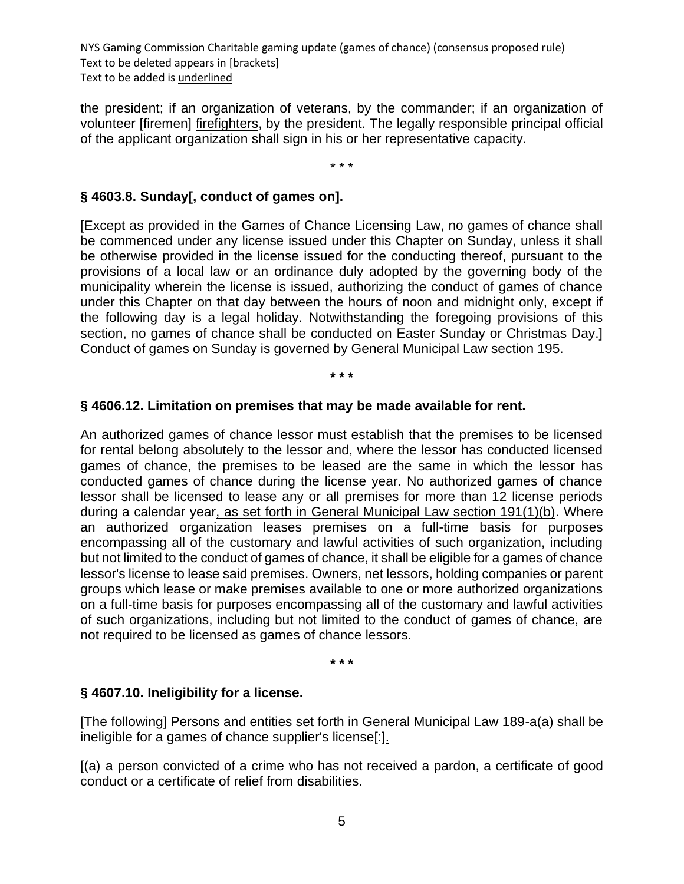the president; if an organization of veterans, by the commander; if an organization of volunteer [firemen] firefighters, by the president. The legally responsible principal official of the applicant organization shall sign in his or her representative capacity.

\* \* \*

# **§ 4603.8. Sunday[, conduct of games on].**

[Except as provided in the Games of Chance Licensing Law, no games of chance shall be commenced under any license issued under this Chapter on Sunday, unless it shall be otherwise provided in the license issued for the conducting thereof, pursuant to the provisions of a local law or an ordinance duly adopted by the governing body of the municipality wherein the license is issued, authorizing the conduct of games of chance under this Chapter on that day between the hours of noon and midnight only, except if the following day is a legal holiday. Notwithstanding the foregoing provisions of this section, no games of chance shall be conducted on Easter Sunday or Christmas Day.] Conduct of games on Sunday is governed by General Municipal Law section 195.

#### **\* \* \***

#### **§ 4606.12. Limitation on premises that may be made available for rent.**

An authorized games of chance lessor must establish that the premises to be licensed for rental belong absolutely to the lessor and, where the lessor has conducted licensed games of chance, the premises to be leased are the same in which the lessor has conducted games of chance during the license year. No authorized games of chance lessor shall be licensed to lease any or all premises for more than 12 license periods during a calendar year, as set forth in General Municipal Law section 191(1)(b). Where an authorized organization leases premises on a full-time basis for purposes encompassing all of the customary and lawful activities of such organization, including but not limited to the conduct of games of chance, it shall be eligible for a games of chance lessor's license to lease said premises. Owners, net lessors, holding companies or parent groups which lease or make premises available to one or more authorized organizations on a full-time basis for purposes encompassing all of the customary and lawful activities of such organizations, including but not limited to the conduct of games of chance, are not required to be licensed as games of chance lessors.

**\* \* \***

#### **§ 4607.10. Ineligibility for a license.**

[The following] Persons and entities set forth in General Municipal Law 189-a(a) shall be ineligible for a games of chance supplier's license[:].

[(a) a person convicted of a crime who has not received a pardon, a certificate of good conduct or a certificate of relief from disabilities.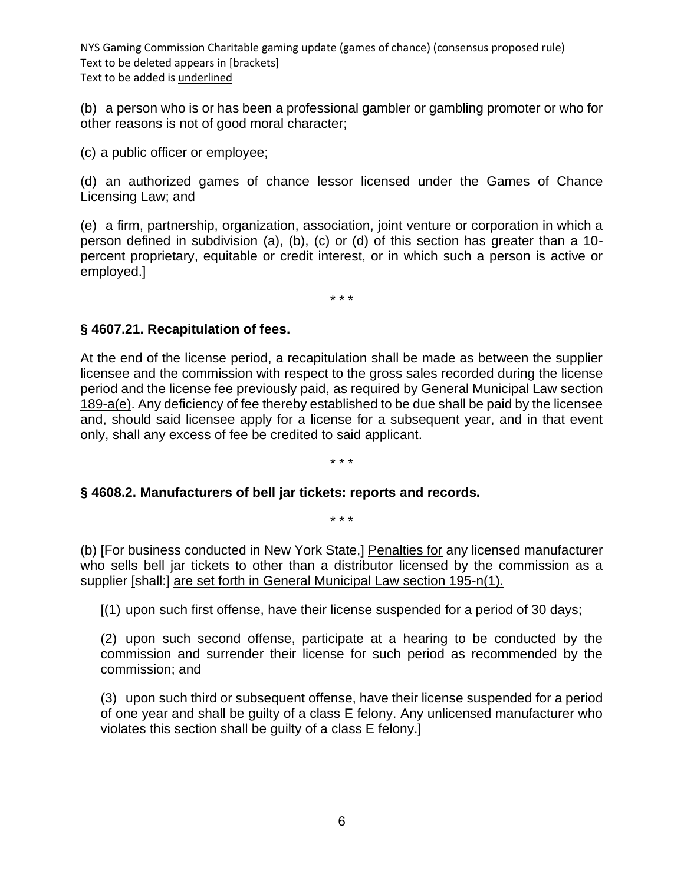(b) a person who is or has been a professional gambler or gambling promoter or who for other reasons is not of good moral character;

(c) a public officer or employee;

(d) an authorized games of chance lessor licensed under the Games of Chance Licensing Law; and

(e) a firm, partnership, organization, association, joint venture or corporation in which a person defined in subdivision (a), (b), (c) or (d) of this section has greater than a 10 percent proprietary, equitable or credit interest, or in which such a person is active or employed.]

\* \* \*

### **§ 4607.21. Recapitulation of fees.**

At the end of the license period, a recapitulation shall be made as between the supplier licensee and the commission with respect to the gross sales recorded during the license period and the license fee previously paid, as required by General Municipal Law section 189-a(e). Any deficiency of fee thereby established to be due shall be paid by the licensee and, should said licensee apply for a license for a subsequent year, and in that event only, shall any excess of fee be credited to said applicant.

#### \* \* \*

\* \* \*

#### **§ 4608.2. Manufacturers of bell jar tickets: reports and records.**

(b) [For business conducted in New York State,] Penalties for any licensed manufacturer who sells bell jar tickets to other than a distributor licensed by the commission as a supplier [shall:] are set forth in General Municipal Law section 195-n(1).

[(1) upon such first offense, have their license suspended for a period of 30 days;

(2) upon such second offense, participate at a hearing to be conducted by the commission and surrender their license for such period as recommended by the commission; and

(3) upon such third or subsequent offense, have their license suspended for a period of one year and shall be guilty of a class E felony. Any unlicensed manufacturer who violates this section shall be guilty of a class E felony.]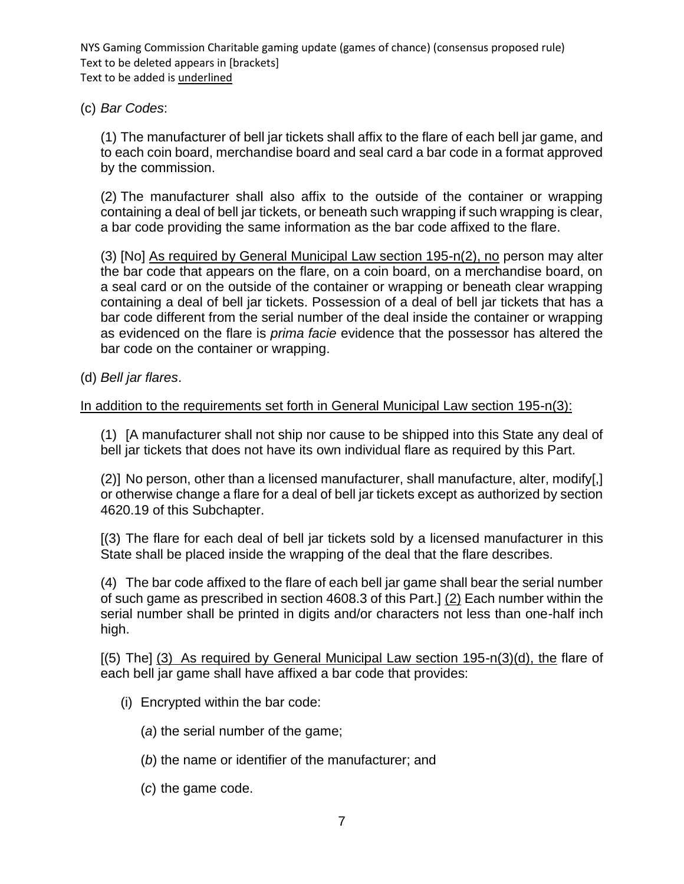(c) *Bar Codes*:

(1) The manufacturer of bell jar tickets shall affix to the flare of each bell jar game, and to each coin board, merchandise board and seal card a bar code in a format approved by the commission.

(2) The manufacturer shall also affix to the outside of the container or wrapping containing a deal of bell jar tickets, or beneath such wrapping if such wrapping is clear, a bar code providing the same information as the bar code affixed to the flare.

(3) [No] As required by General Municipal Law section 195-n(2), no person may alter the bar code that appears on the flare, on a coin board, on a merchandise board, on a seal card or on the outside of the container or wrapping or beneath clear wrapping containing a deal of bell jar tickets. Possession of a deal of bell jar tickets that has a bar code different from the serial number of the deal inside the container or wrapping as evidenced on the flare is *prima facie* evidence that the possessor has altered the bar code on the container or wrapping.

(d) *Bell jar flares*.

## In addition to the requirements set forth in General Municipal Law section 195-n(3):

(1) [A manufacturer shall not ship nor cause to be shipped into this State any deal of bell jar tickets that does not have its own individual flare as required by this Part.

(2)] No person, other than a licensed manufacturer, shall manufacture, alter, modify[,] or otherwise change a flare for a deal of bell jar tickets except as authorized by section 4620.19 of this Subchapter.

[(3) The flare for each deal of bell jar tickets sold by a licensed manufacturer in this State shall be placed inside the wrapping of the deal that the flare describes.

(4) The bar code affixed to the flare of each bell jar game shall bear the serial number of such game as prescribed in section 4608.3 of this Part.] (2) Each number within the serial number shall be printed in digits and/or characters not less than one-half inch high.

 $(5)$  The] (3) As required by General Municipal Law section 195-n(3)(d), the flare of each bell jar game shall have affixed a bar code that provides:

- (i) Encrypted within the bar code:
	- (*a*) the serial number of the game;
	- (*b*) the name or identifier of the manufacturer; and
	- (*c*) the game code.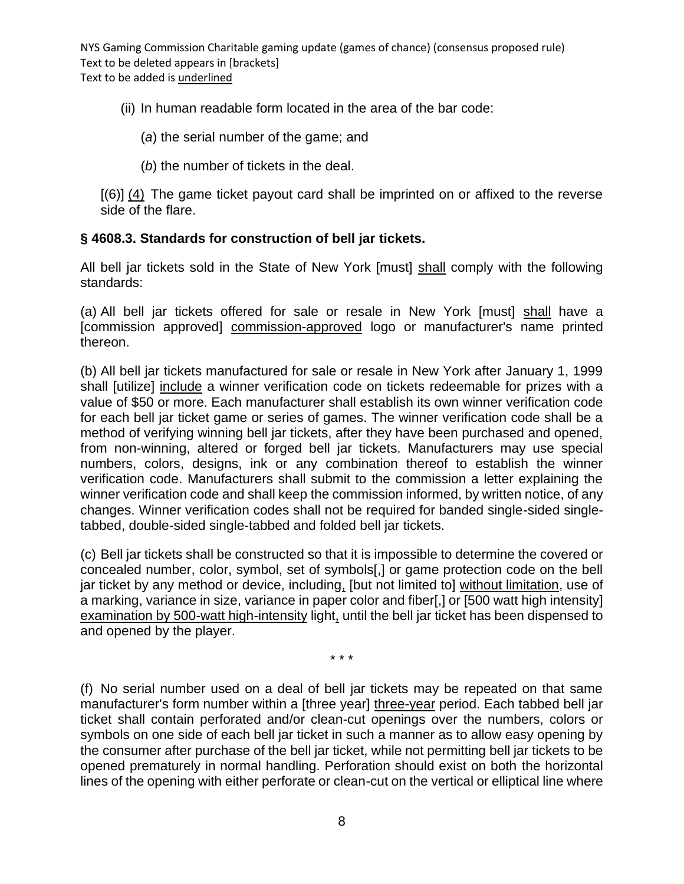(ii) In human readable form located in the area of the bar code:

- (*a*) the serial number of the game; and
- (*b*) the number of tickets in the deal.

[(6)] (4) The game ticket payout card shall be imprinted on or affixed to the reverse side of the flare.

### **§ 4608.3. Standards for construction of bell jar tickets.**

All bell jar tickets sold in the State of New York [must] shall comply with the following standards:

(a) All bell jar tickets offered for sale or resale in New York [must] shall have a [commission approved] commission-approved logo or manufacturer's name printed thereon.

(b) All bell jar tickets manufactured for sale or resale in New York after January 1, 1999 shall [utilize] include a winner verification code on tickets redeemable for prizes with a value of \$50 or more. Each manufacturer shall establish its own winner verification code for each bell jar ticket game or series of games. The winner verification code shall be a method of verifying winning bell jar tickets, after they have been purchased and opened, from non-winning, altered or forged bell jar tickets. Manufacturers may use special numbers, colors, designs, ink or any combination thereof to establish the winner verification code. Manufacturers shall submit to the commission a letter explaining the winner verification code and shall keep the commission informed, by written notice, of any changes. Winner verification codes shall not be required for banded single-sided singletabbed, double-sided single-tabbed and folded bell jar tickets.

(c) Bell jar tickets shall be constructed so that it is impossible to determine the covered or concealed number, color, symbol, set of symbols[,] or game protection code on the bell jar ticket by any method or device, including, [but not limited to] without limitation, use of a marking, variance in size, variance in paper color and fiber[,] or [500 watt high intensity] examination by 500-watt high-intensity light, until the bell jar ticket has been dispensed to and opened by the player.

\* \* \*

(f) No serial number used on a deal of bell jar tickets may be repeated on that same manufacturer's form number within a [three year] three-year period. Each tabbed bell jar ticket shall contain perforated and/or clean-cut openings over the numbers, colors or symbols on one side of each bell jar ticket in such a manner as to allow easy opening by the consumer after purchase of the bell jar ticket, while not permitting bell jar tickets to be opened prematurely in normal handling. Perforation should exist on both the horizontal lines of the opening with either perforate or clean-cut on the vertical or elliptical line where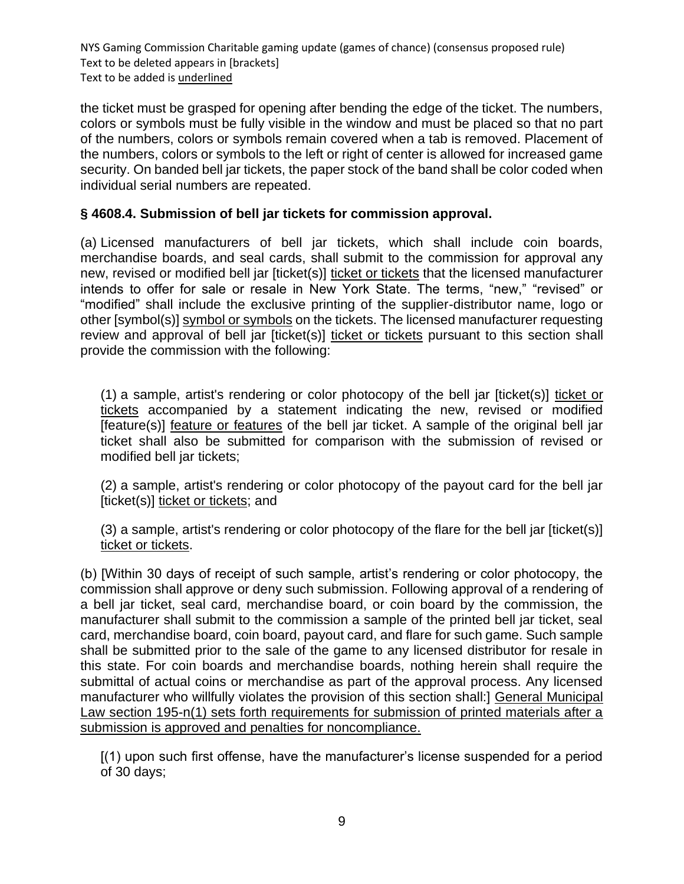the ticket must be grasped for opening after bending the edge of the ticket. The numbers, colors or symbols must be fully visible in the window and must be placed so that no part of the numbers, colors or symbols remain covered when a tab is removed. Placement of the numbers, colors or symbols to the left or right of center is allowed for increased game security. On banded bell jar tickets, the paper stock of the band shall be color coded when individual serial numbers are repeated.

### **§ 4608.4. Submission of bell jar tickets for commission approval.**

(a) Licensed manufacturers of bell jar tickets, which shall include coin boards, merchandise boards, and seal cards, shall submit to the commission for approval any new, revised or modified bell jar [ticket(s)] ticket or tickets that the licensed manufacturer intends to offer for sale or resale in New York State. The terms, "new," "revised" or "modified" shall include the exclusive printing of the supplier-distributor name, logo or other [symbol(s)] symbol or symbols on the tickets. The licensed manufacturer requesting review and approval of bell jar [ticket(s)] ticket or tickets pursuant to this section shall provide the commission with the following:

(1) a sample, artist's rendering or color photocopy of the bell jar [ticket(s)] ticket or tickets accompanied by a statement indicating the new, revised or modified [feature(s)] feature or features of the bell jar ticket. A sample of the original bell jar ticket shall also be submitted for comparison with the submission of revised or modified bell jar tickets;

(2) a sample, artist's rendering or color photocopy of the payout card for the bell jar [ticket(s)] ticket or tickets; and

(3) a sample, artist's rendering or color photocopy of the flare for the bell jar [ticket(s)] ticket or tickets.

(b) [Within 30 days of receipt of such sample, artist's rendering or color photocopy, the commission shall approve or deny such submission. Following approval of a rendering of a bell jar ticket, seal card, merchandise board, or coin board by the commission, the manufacturer shall submit to the commission a sample of the printed bell jar ticket, seal card, merchandise board, coin board, payout card, and flare for such game. Such sample shall be submitted prior to the sale of the game to any licensed distributor for resale in this state. For coin boards and merchandise boards, nothing herein shall require the submittal of actual coins or merchandise as part of the approval process. Any licensed manufacturer who willfully violates the provision of this section shall:] General Municipal Law section 195-n(1) sets forth requirements for submission of printed materials after a submission is approved and penalties for noncompliance.

[(1) upon such first offense, have the manufacturer's license suspended for a period of 30 days;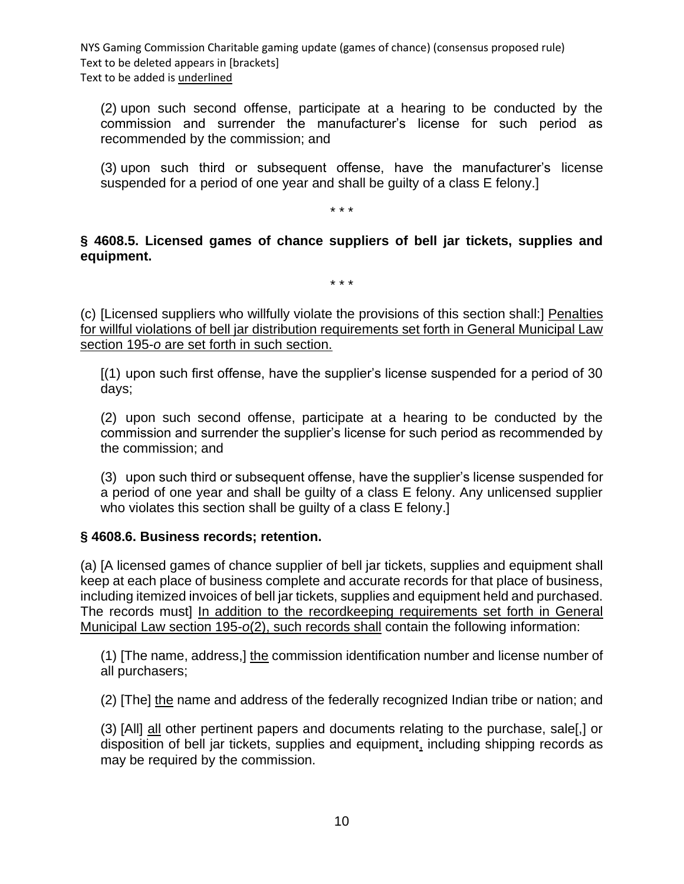(2) upon such second offense, participate at a hearing to be conducted by the commission and surrender the manufacturer's license for such period as recommended by the commission; and

(3) upon such third or subsequent offense, have the manufacturer's license suspended for a period of one year and shall be guilty of a class E felony.]

\* \* \*

**§ 4608.5. Licensed games of chance suppliers of bell jar tickets, supplies and equipment.**

\* \* \*

(c) [Licensed suppliers who willfully violate the provisions of this section shall:] Penalties for willful violations of bell jar distribution requirements set forth in General Municipal Law section 195-*o* are set forth in such section.

[(1) upon such first offense, have the supplier's license suspended for a period of 30 days;

(2) upon such second offense, participate at a hearing to be conducted by the commission and surrender the supplier's license for such period as recommended by the commission; and

(3) upon such third or subsequent offense, have the supplier's license suspended for a period of one year and shall be guilty of a class E felony. Any unlicensed supplier who violates this section shall be guilty of a class E felony.]

## **§ 4608.6. Business records; retention.**

(a) [A licensed games of chance supplier of bell jar tickets, supplies and equipment shall keep at each place of business complete and accurate records for that place of business, including itemized invoices of bell jar tickets, supplies and equipment held and purchased. The records must] In addition to the recordkeeping requirements set forth in General Municipal Law section 195-*o*(2), such records shall contain the following information:

(1) [The name, address,] the commission identification number and license number of all purchasers;

(2) [The] the name and address of the federally recognized Indian tribe or nation; and

(3) [All] all other pertinent papers and documents relating to the purchase, sale[,] or disposition of bell jar tickets, supplies and equipment, including shipping records as may be required by the commission.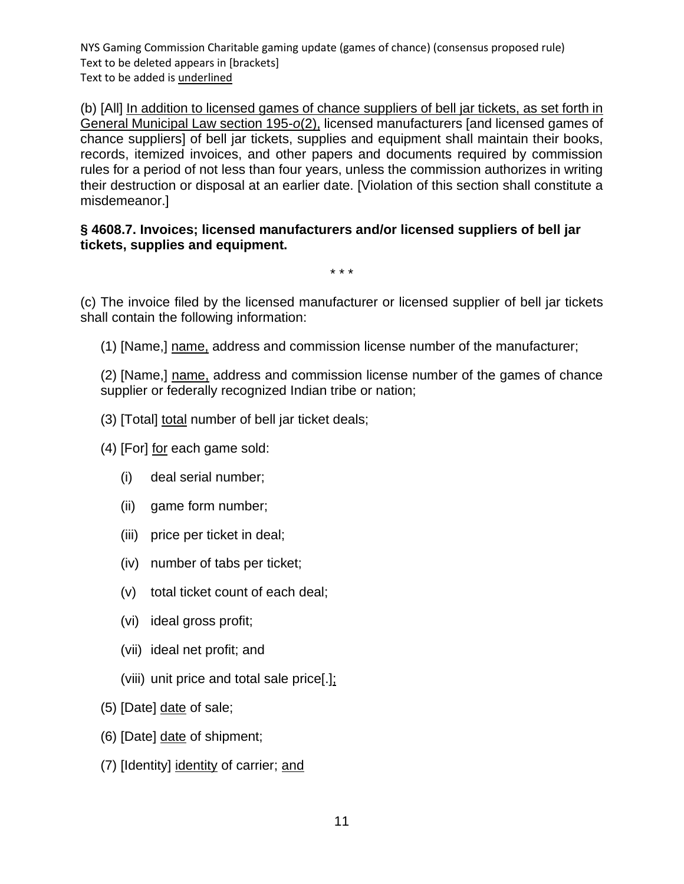(b) [All] In addition to licensed games of chance suppliers of bell jar tickets, as set forth in General Municipal Law section 195-*o*(2), licensed manufacturers [and licensed games of chance suppliers] of bell jar tickets, supplies and equipment shall maintain their books, records, itemized invoices, and other papers and documents required by commission rules for a period of not less than four years, unless the commission authorizes in writing their destruction or disposal at an earlier date. [Violation of this section shall constitute a misdemeanor.]

### **§ 4608.7. Invoices; licensed manufacturers and/or licensed suppliers of bell jar tickets, supplies and equipment.**

\* \* \*

(c) The invoice filed by the licensed manufacturer or licensed supplier of bell jar tickets shall contain the following information:

(1) [Name,] name, address and commission license number of the manufacturer;

(2) [Name,] name, address and commission license number of the games of chance supplier or federally recognized Indian tribe or nation;

- (3) [Total] total number of bell jar ticket deals;
- (4) [For] for each game sold:
	- (i) deal serial number;
	- (ii) game form number;
	- (iii) price per ticket in deal;
	- (iv) number of tabs per ticket;
	- (v) total ticket count of each deal;
	- (vi) ideal gross profit;
	- (vii) ideal net profit; and
	- (viii) unit price and total sale price[.];
- (5) [Date] date of sale;
- (6) [Date] date of shipment;
- (7) [Identity] identity of carrier; and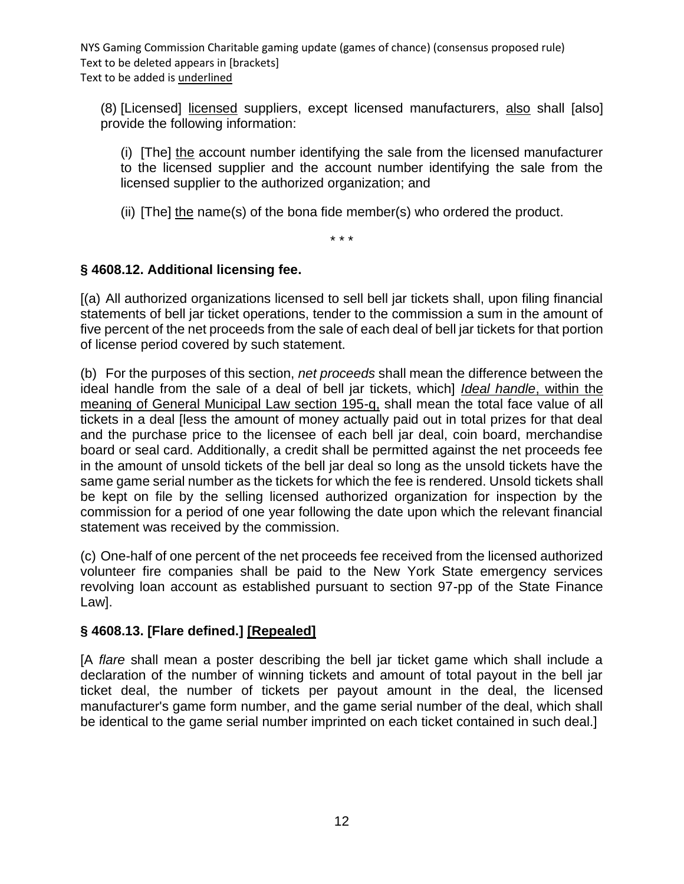(8) [Licensed] licensed suppliers, except licensed manufacturers, also shall [also] provide the following information:

(i) [The] the account number identifying the sale from the licensed manufacturer to the licensed supplier and the account number identifying the sale from the licensed supplier to the authorized organization; and

(ii) [The] the name(s) of the bona fide member(s) who ordered the product.

\* \* \*

## **§ 4608.12. Additional licensing fee.**

[(a) All authorized organizations licensed to sell bell jar tickets shall, upon filing financial statements of bell jar ticket operations, tender to the commission a sum in the amount of five percent of the net proceeds from the sale of each deal of bell jar tickets for that portion of license period covered by such statement.

(b) For the purposes of this section, *net proceeds* shall mean the difference between the ideal handle from the sale of a deal of bell jar tickets, which] *Ideal handle*, within the meaning of General Municipal Law section 195-q, shall mean the total face value of all tickets in a deal [less the amount of money actually paid out in total prizes for that deal and the purchase price to the licensee of each bell jar deal, coin board, merchandise board or seal card. Additionally, a credit shall be permitted against the net proceeds fee in the amount of unsold tickets of the bell jar deal so long as the unsold tickets have the same game serial number as the tickets for which the fee is rendered. Unsold tickets shall be kept on file by the selling licensed authorized organization for inspection by the commission for a period of one year following the date upon which the relevant financial statement was received by the commission.

(c) One-half of one percent of the net proceeds fee received from the licensed authorized volunteer fire companies shall be paid to the New York State emergency services revolving loan account as established pursuant to section 97-pp of the State Finance Law].

## **§ 4608.13. [Flare defined.] [Repealed]**

[A *flare* shall mean a poster describing the bell jar ticket game which shall include a declaration of the number of winning tickets and amount of total payout in the bell jar ticket deal, the number of tickets per payout amount in the deal, the licensed manufacturer's game form number, and the game serial number of the deal, which shall be identical to the game serial number imprinted on each ticket contained in such deal.]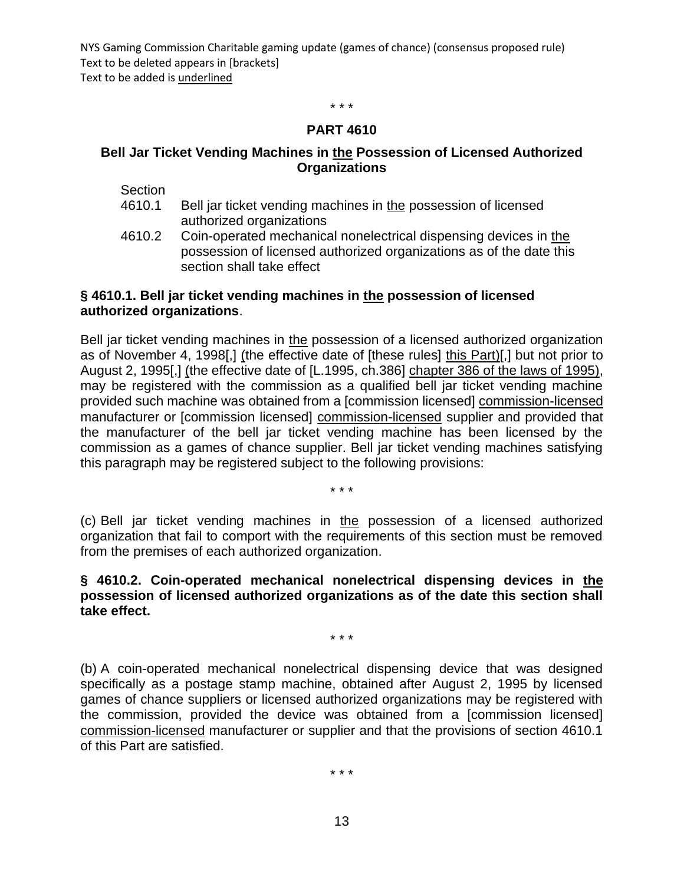\* \* \*

#### **PART 4610**

#### **Bell Jar Ticket Vending Machines in the Possession of Licensed Authorized Organizations**

**Section** 

- 4610.1 Bell jar ticket vending machines in the possession of licensed authorized organizations
- 4610.2 Coin-operated mechanical nonelectrical dispensing devices in the possession of licensed authorized organizations as of the date this section shall take effect

#### **§ 4610.1. Bell jar ticket vending machines in the possession of licensed authorized organizations**.

Bell jar ticket vending machines in the possession of a licensed authorized organization as of November 4, 1998[,] (the effective date of [these rules] this Part)[,] but not prior to August 2, 1995[,] (the effective date of [L.1995, ch.386] chapter 386 of the laws of 1995), may be registered with the commission as a qualified bell jar ticket vending machine provided such machine was obtained from a [commission licensed] commission-licensed manufacturer or [commission licensed] commission-licensed supplier and provided that the manufacturer of the bell jar ticket vending machine has been licensed by the commission as a games of chance supplier. Bell jar ticket vending machines satisfying this paragraph may be registered subject to the following provisions:

\* \* \*

(c) Bell jar ticket vending machines in the possession of a licensed authorized organization that fail to comport with the requirements of this section must be removed from the premises of each authorized organization.

#### **§ 4610.2. Coin-operated mechanical nonelectrical dispensing devices in the possession of licensed authorized organizations as of the date this section shall take effect.**

\* \* \*

(b) A coin-operated mechanical nonelectrical dispensing device that was designed specifically as a postage stamp machine, obtained after August 2, 1995 by licensed games of chance suppliers or licensed authorized organizations may be registered with the commission, provided the device was obtained from a [commission licensed] commission-licensed manufacturer or supplier and that the provisions of section 4610.1 of this Part are satisfied.

\* \* \*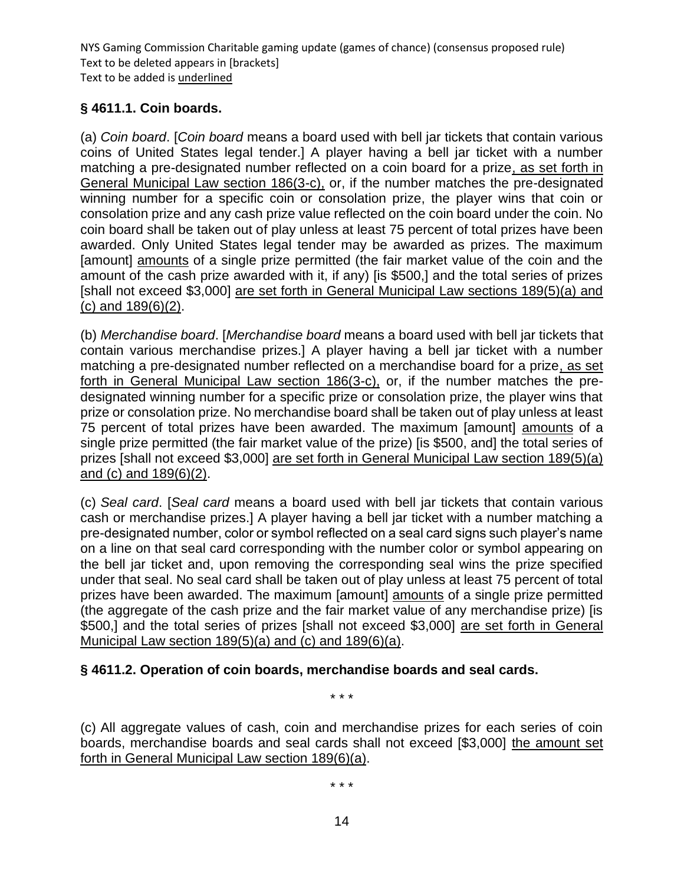# **§ 4611.1. Coin boards.**

(a) *Coin board*. [*Coin board* means a board used with bell jar tickets that contain various coins of United States legal tender.] A player having a bell jar ticket with a number matching a pre-designated number reflected on a coin board for a prize, as set forth in General Municipal Law section 186(3-c), or, if the number matches the pre-designated winning number for a specific coin or consolation prize, the player wins that coin or consolation prize and any cash prize value reflected on the coin board under the coin. No coin board shall be taken out of play unless at least 75 percent of total prizes have been awarded. Only United States legal tender may be awarded as prizes. The maximum [amount] amounts of a single prize permitted (the fair market value of the coin and the amount of the cash prize awarded with it, if any) [is \$500,] and the total series of prizes [shall not exceed \$3,000] are set forth in General Municipal Law sections 189(5)(a) and (c) and 189(6)(2).

(b) *Merchandise board*. [*Merchandise board* means a board used with bell jar tickets that contain various merchandise prizes.] A player having a bell jar ticket with a number matching a pre-designated number reflected on a merchandise board for a prize, as set forth in General Municipal Law section 186(3-c), or, if the number matches the predesignated winning number for a specific prize or consolation prize, the player wins that prize or consolation prize. No merchandise board shall be taken out of play unless at least 75 percent of total prizes have been awarded. The maximum [amount] amounts of a single prize permitted (the fair market value of the prize) [is \$500, and] the total series of prizes [shall not exceed \$3,000] are set forth in General Municipal Law section 189(5)(a) and (c) and 189(6)(2).

(c) *Seal card*. [*Seal card* means a board used with bell jar tickets that contain various cash or merchandise prizes.] A player having a bell jar ticket with a number matching a pre-designated number, color or symbol reflected on a seal card signs such player's name on a line on that seal card corresponding with the number color or symbol appearing on the bell jar ticket and, upon removing the corresponding seal wins the prize specified under that seal. No seal card shall be taken out of play unless at least 75 percent of total prizes have been awarded. The maximum [amount] amounts of a single prize permitted (the aggregate of the cash prize and the fair market value of any merchandise prize) [is \$500,] and the total series of prizes [shall not exceed \$3,000] are set forth in General Municipal Law section 189(5)(a) and (c) and 189(6)(a).

## **§ 4611.2. Operation of coin boards, merchandise boards and seal cards.**

\* \* \*

(c) All aggregate values of cash, coin and merchandise prizes for each series of coin boards, merchandise boards and seal cards shall not exceed [\$3,000] the amount set forth in General Municipal Law section 189(6)(a).

\* \* \*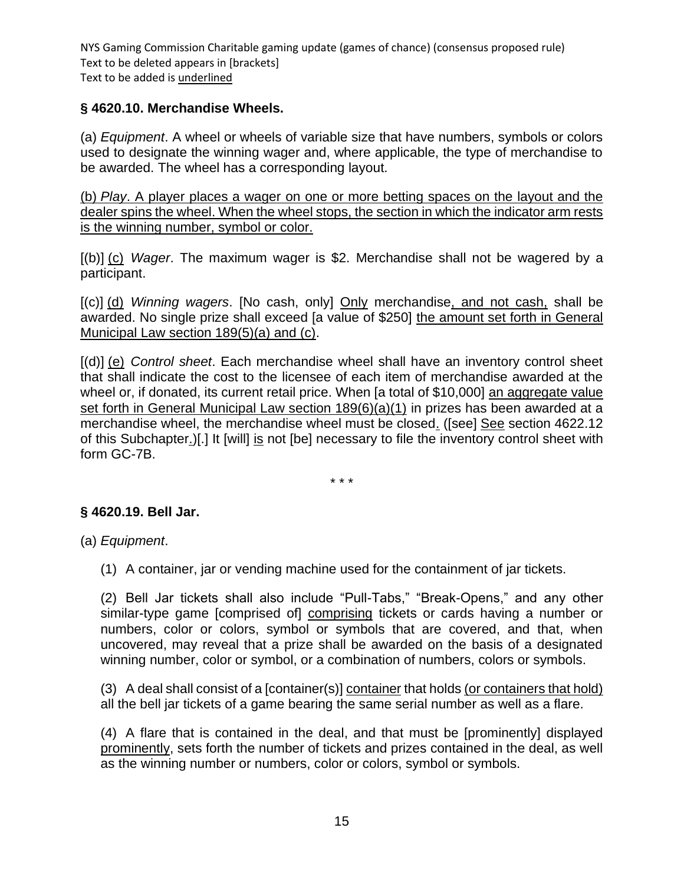## **§ 4620.10. Merchandise Wheels.**

(a) *Equipment*. A wheel or wheels of variable size that have numbers, symbols or colors used to designate the winning wager and, where applicable, the type of merchandise to be awarded. The wheel has a corresponding layout.

(b) *Play*. A player places a wager on one or more betting spaces on the layout and the dealer spins the wheel. When the wheel stops, the section in which the indicator arm rests is the winning number, symbol or color.

[(b)] (c) *Wager*. The maximum wager is \$2. Merchandise shall not be wagered by a participant.

[(c)] (d) *Winning wagers*. [No cash, only] Only merchandise, and not cash, shall be awarded. No single prize shall exceed [a value of \$250] the amount set forth in General Municipal Law section 189(5)(a) and (c).

[(d)] (e) *Control sheet*. Each merchandise wheel shall have an inventory control sheet that shall indicate the cost to the licensee of each item of merchandise awarded at the wheel or, if donated, its current retail price. When [a total of \$10,000] an aggregate value set forth in General Municipal Law section 189(6)(a)(1) in prizes has been awarded at a merchandise wheel, the merchandise wheel must be closed. ([see] See section 4622.12 of this Subchapter.)[.] It [will] is not [be] necessary to file the inventory control sheet with form GC-7B.

\* \* \*

## **§ 4620.19. Bell Jar.**

(a) *Equipment*.

(1) A container, jar or vending machine used for the containment of jar tickets.

(2) Bell Jar tickets shall also include "Pull-Tabs," "Break-Opens," and any other similar-type game [comprised of] comprising tickets or cards having a number or numbers, color or colors, symbol or symbols that are covered, and that, when uncovered, may reveal that a prize shall be awarded on the basis of a designated winning number, color or symbol, or a combination of numbers, colors or symbols.

(3) A deal shall consist of a [container(s)] container that holds (or containers that hold) all the bell jar tickets of a game bearing the same serial number as well as a flare.

(4) A flare that is contained in the deal, and that must be [prominently] displayed prominently, sets forth the number of tickets and prizes contained in the deal, as well as the winning number or numbers, color or colors, symbol or symbols.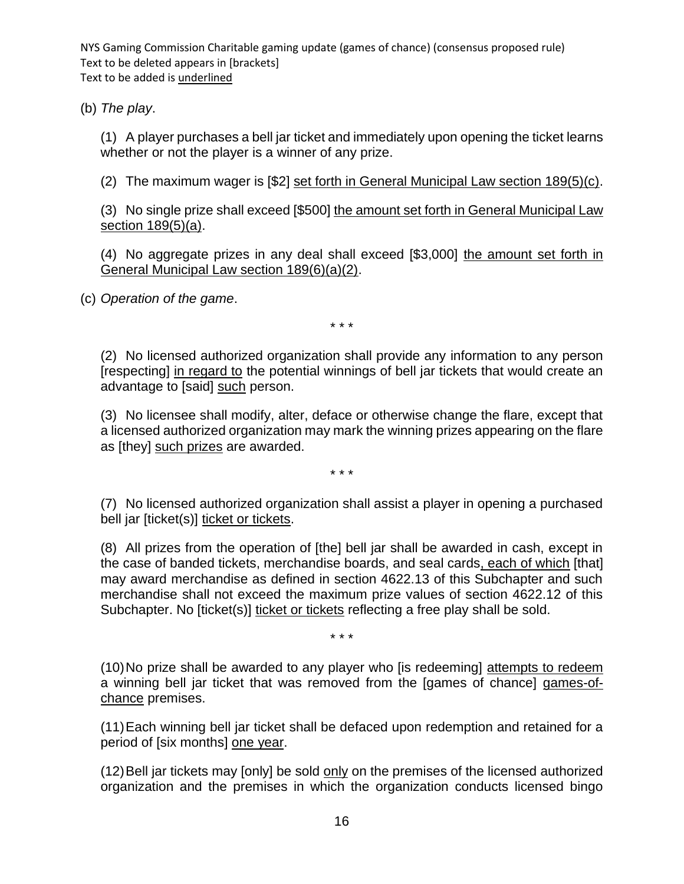(b) *The play*.

(1) A player purchases a bell jar ticket and immediately upon opening the ticket learns whether or not the player is a winner of any prize.

(2) The maximum wager is [\$2] set forth in General Municipal Law section 189(5)(c).

(3) No single prize shall exceed [\$500] the amount set forth in General Municipal Law section 189(5)(a).

(4) No aggregate prizes in any deal shall exceed [\$3,000] the amount set forth in General Municipal Law section 189(6)(a)(2).

(c) *Operation of the game*.

\* \* \*

(2) No licensed authorized organization shall provide any information to any person [respecting] in regard to the potential winnings of bell jar tickets that would create an advantage to [said] such person.

(3) No licensee shall modify, alter, deface or otherwise change the flare, except that a licensed authorized organization may mark the winning prizes appearing on the flare as [they] such prizes are awarded.

\* \* \*

(7) No licensed authorized organization shall assist a player in opening a purchased bell jar [ticket(s)] ticket or tickets.

(8) All prizes from the operation of [the] bell jar shall be awarded in cash, except in the case of banded tickets, merchandise boards, and seal cards, each of which [that] may award merchandise as defined in section 4622.13 of this Subchapter and such merchandise shall not exceed the maximum prize values of section 4622.12 of this Subchapter. No [ticket(s)] ticket or tickets reflecting a free play shall be sold.

\* \* \*

(10)No prize shall be awarded to any player who [is redeeming] attempts to redeem a winning bell jar ticket that was removed from the [games of chance] games-ofchance premises.

(11)Each winning bell jar ticket shall be defaced upon redemption and retained for a period of [six months] one year.

(12)Bell jar tickets may [only] be sold only on the premises of the licensed authorized organization and the premises in which the organization conducts licensed bingo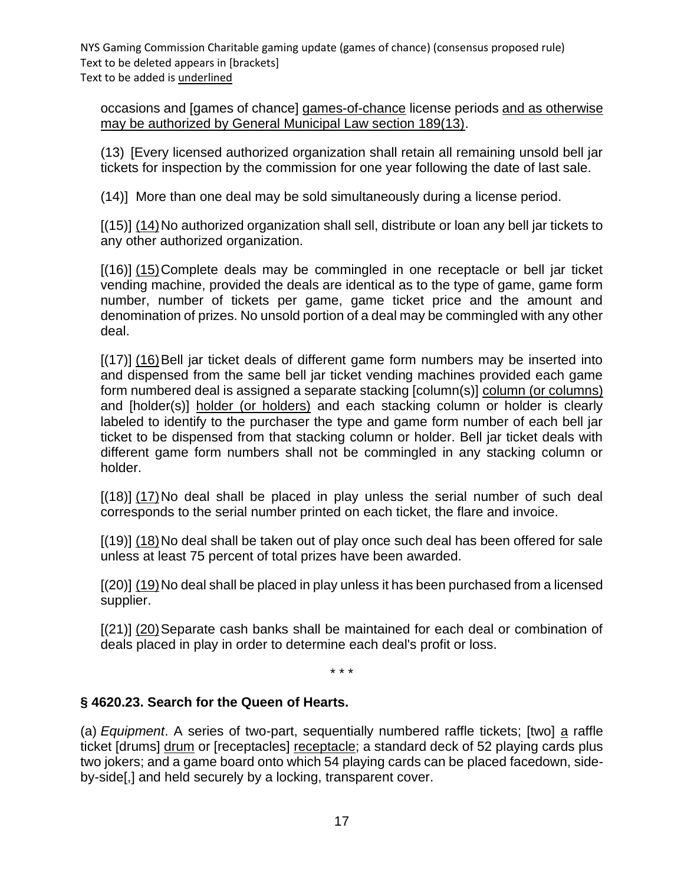occasions and [games of chance] games-of-chance license periods and as otherwise may be authorized by General Municipal Law section 189(13).

(13) [Every licensed authorized organization shall retain all remaining unsold bell jar tickets for inspection by the commission for one year following the date of last sale.

(14)] More than one deal may be sold simultaneously during a license period.

[(15)] (14)No authorized organization shall sell, distribute or loan any bell jar tickets to any other authorized organization.

[(16)] (15)Complete deals may be commingled in one receptacle or bell jar ticket vending machine, provided the deals are identical as to the type of game, game form number, number of tickets per game, game ticket price and the amount and denomination of prizes. No unsold portion of a deal may be commingled with any other deal.

[(17)] (16) Bell jar ticket deals of different game form numbers may be inserted into and dispensed from the same bell jar ticket vending machines provided each game form numbered deal is assigned a separate stacking [column(s)] column (or columns) and [holder(s)] holder (or holders) and each stacking column or holder is clearly labeled to identify to the purchaser the type and game form number of each bell jar ticket to be dispensed from that stacking column or holder. Bell jar ticket deals with different game form numbers shall not be commingled in any stacking column or holder.

[(18)] (17)No deal shall be placed in play unless the serial number of such deal corresponds to the serial number printed on each ticket, the flare and invoice.

[(19)] (18)No deal shall be taken out of play once such deal has been offered for sale unless at least 75 percent of total prizes have been awarded.

[(20)] (19)No deal shall be placed in play unless it has been purchased from a licensed supplier.

[(21)] (20)Separate cash banks shall be maintained for each deal or combination of deals placed in play in order to determine each deal's profit or loss.

\* \* \*

## **§ 4620.23. Search for the Queen of Hearts.**

(a) *Equipment*. A series of two-part, sequentially numbered raffle tickets; [two] a raffle ticket [drums] drum or [receptacles] receptacle; a standard deck of 52 playing cards plus two jokers; and a game board onto which 54 playing cards can be placed facedown, sideby-side[,] and held securely by a locking, transparent cover.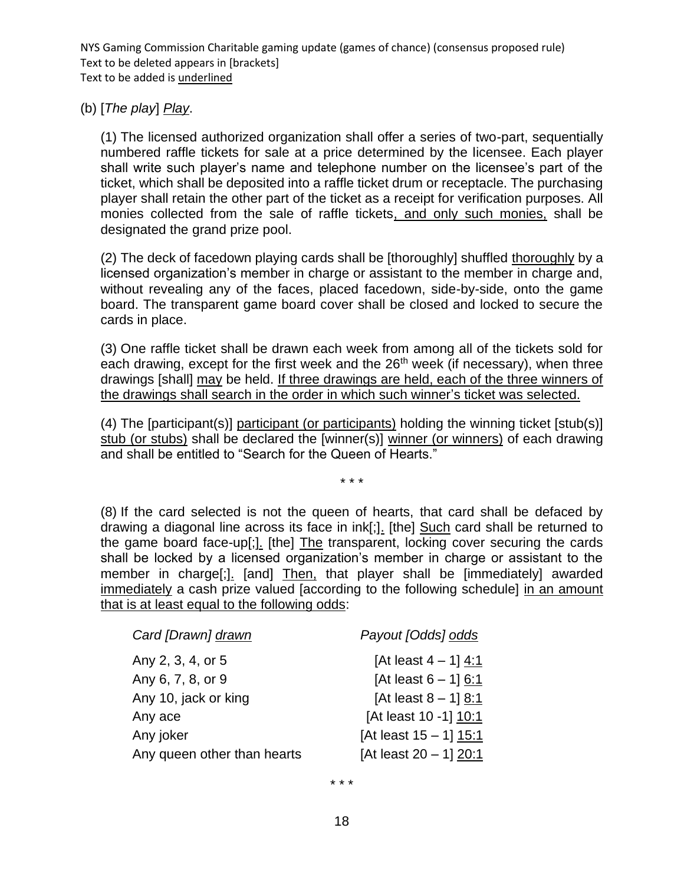#### (b) [*The play*] *Play*.

(1) The licensed authorized organization shall offer a series of two-part, sequentially numbered raffle tickets for sale at a price determined by the licensee. Each player shall write such player's name and telephone number on the licensee's part of the ticket, which shall be deposited into a raffle ticket drum or receptacle. The purchasing player shall retain the other part of the ticket as a receipt for verification purposes. All monies collected from the sale of raffle tickets, and only such monies, shall be designated the grand prize pool.

(2) The deck of facedown playing cards shall be [thoroughly] shuffled thoroughly by a licensed organization's member in charge or assistant to the member in charge and, without revealing any of the faces, placed facedown, side-by-side, onto the game board. The transparent game board cover shall be closed and locked to secure the cards in place.

(3) One raffle ticket shall be drawn each week from among all of the tickets sold for each drawing, except for the first week and the  $26<sup>th</sup>$  week (if necessary), when three drawings [shall] may be held. If three drawings are held, each of the three winners of the drawings shall search in the order in which such winner's ticket was selected.

(4) The [participant(s)] participant (or participants) holding the winning ticket [stub(s)] stub (or stubs) shall be declared the [winner(s)] winner (or winners) of each drawing and shall be entitled to "Search for the Queen of Hearts."

\* \* \*

(8) If the card selected is not the queen of hearts, that card shall be defaced by drawing a diagonal line across its face in ink[;]. [the] Such card shall be returned to the game board face-up[;]. [the] The transparent, locking cover securing the cards shall be locked by a licensed organization's member in charge or assistant to the member in charge[;]. [and] Then, that player shall be [immediately] awarded immediately a cash prize valued [according to the following schedule] in an amount that is at least equal to the following odds:

| Card [Drawn] drawn          | Payout [Odds] odds        |
|-----------------------------|---------------------------|
| Any 2, 3, 4, or 5           | [At least $4 - 1$ ] 4:1   |
| Any 6, 7, 8, or 9           | [At least $6 - 1$ ] 6:1   |
| Any 10, jack or king        | [At least $8 - 1$ ] 8:1   |
| Any ace                     | [At least 10 -1] 10:1     |
| Any joker                   | [At least $15 - 1$ ] 15:1 |
| Any queen other than hearts | [At least $20 - 1$ ] 20:1 |

\* \* \*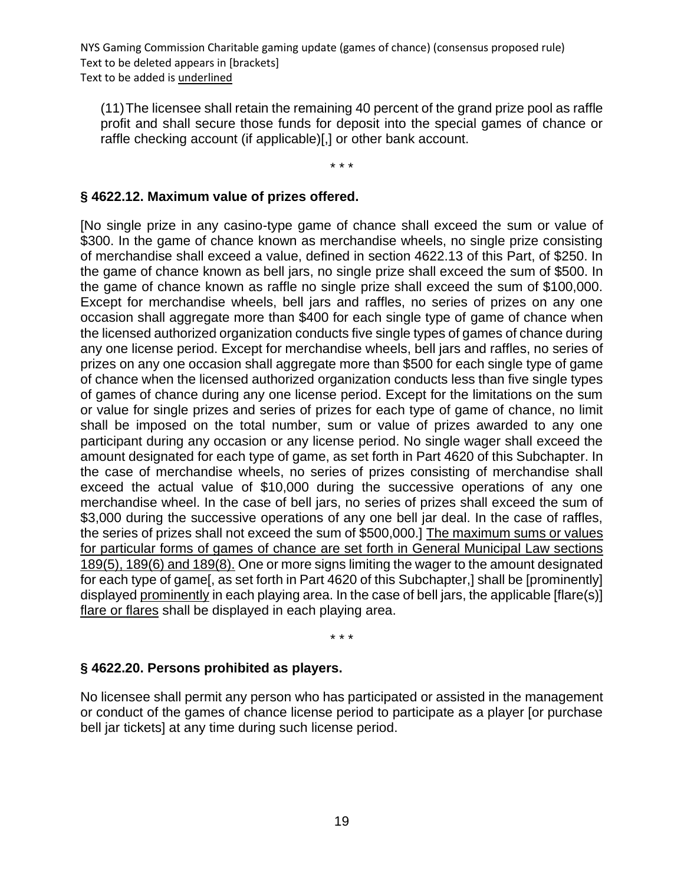(11)The licensee shall retain the remaining 40 percent of the grand prize pool as raffle profit and shall secure those funds for deposit into the special games of chance or raffle checking account (if applicable)[,] or other bank account.

\* \* \*

## **§ 4622.12. Maximum value of prizes offered.**

[No single prize in any casino-type game of chance shall exceed the sum or value of \$300. In the game of chance known as merchandise wheels, no single prize consisting of merchandise shall exceed a value, defined in section 4622.13 of this Part, of \$250. In the game of chance known as bell jars, no single prize shall exceed the sum of \$500. In the game of chance known as raffle no single prize shall exceed the sum of \$100,000. Except for merchandise wheels, bell jars and raffles, no series of prizes on any one occasion shall aggregate more than \$400 for each single type of game of chance when the licensed authorized organization conducts five single types of games of chance during any one license period. Except for merchandise wheels, bell jars and raffles, no series of prizes on any one occasion shall aggregate more than \$500 for each single type of game of chance when the licensed authorized organization conducts less than five single types of games of chance during any one license period. Except for the limitations on the sum or value for single prizes and series of prizes for each type of game of chance, no limit shall be imposed on the total number, sum or value of prizes awarded to any one participant during any occasion or any license period. No single wager shall exceed the amount designated for each type of game, as set forth in Part 4620 of this Subchapter. In the case of merchandise wheels, no series of prizes consisting of merchandise shall exceed the actual value of \$10,000 during the successive operations of any one merchandise wheel. In the case of bell jars, no series of prizes shall exceed the sum of \$3,000 during the successive operations of any one bell jar deal. In the case of raffles, the series of prizes shall not exceed the sum of \$500,000.] The maximum sums or values for particular forms of games of chance are set forth in General Municipal Law sections 189(5), 189(6) and 189(8). One or more signs limiting the wager to the amount designated for each type of game[, as set forth in Part 4620 of this Subchapter,] shall be [prominently] displayed prominently in each playing area. In the case of bell jars, the applicable [flare(s)] flare or flares shall be displayed in each playing area.

\* \* \*

## **§ 4622.20. Persons prohibited as players.**

No licensee shall permit any person who has participated or assisted in the management or conduct of the games of chance license period to participate as a player [or purchase bell jar tickets] at any time during such license period.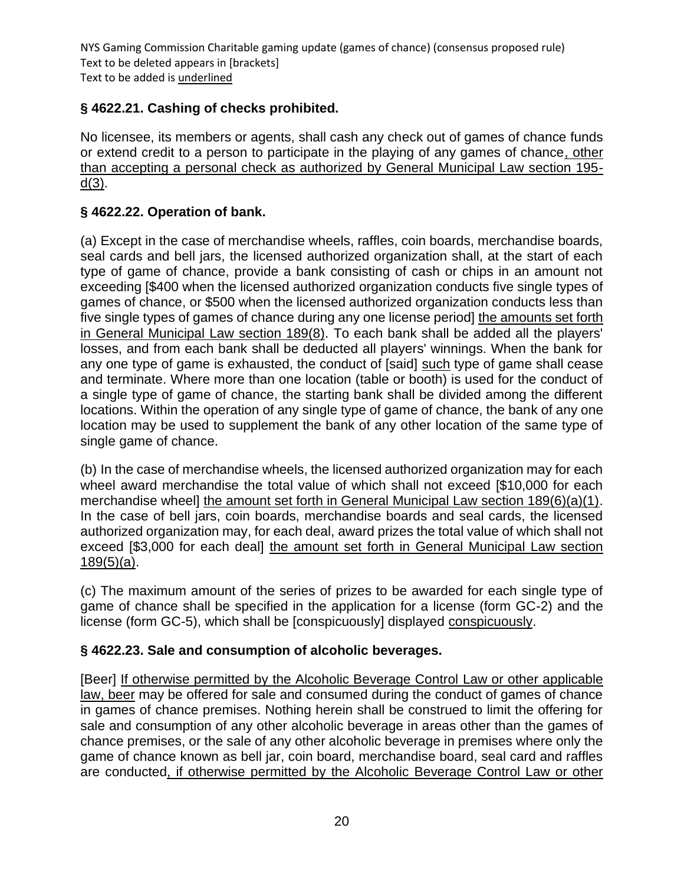# **§ 4622.21. Cashing of checks prohibited.**

No licensee, its members or agents, shall cash any check out of games of chance funds or extend credit to a person to participate in the playing of any games of chance, other than accepting a personal check as authorized by General Municipal Law section 195 d(3).

## **§ 4622.22. Operation of bank.**

(a) Except in the case of merchandise wheels, raffles, coin boards, merchandise boards, seal cards and bell jars, the licensed authorized organization shall, at the start of each type of game of chance, provide a bank consisting of cash or chips in an amount not exceeding [\$400 when the licensed authorized organization conducts five single types of games of chance, or \$500 when the licensed authorized organization conducts less than five single types of games of chance during any one license period] the amounts set forth in General Municipal Law section 189(8). To each bank shall be added all the players' losses, and from each bank shall be deducted all players' winnings. When the bank for any one type of game is exhausted, the conduct of [said] such type of game shall cease and terminate. Where more than one location (table or booth) is used for the conduct of a single type of game of chance, the starting bank shall be divided among the different locations. Within the operation of any single type of game of chance, the bank of any one location may be used to supplement the bank of any other location of the same type of single game of chance.

(b) In the case of merchandise wheels, the licensed authorized organization may for each wheel award merchandise the total value of which shall not exceed [\$10,000 for each merchandise wheel] the amount set forth in General Municipal Law section 189(6)(a)(1). In the case of bell jars, coin boards, merchandise boards and seal cards, the licensed authorized organization may, for each deal, award prizes the total value of which shall not exceed [\$3,000 for each deal] the amount set forth in General Municipal Law section  $189(5)(a)$ .

(c) The maximum amount of the series of prizes to be awarded for each single type of game of chance shall be specified in the application for a license (form GC-2) and the license (form GC-5), which shall be [conspicuously] displayed conspicuously.

## **§ 4622.23. Sale and consumption of alcoholic beverages.**

[Beer] If otherwise permitted by the Alcoholic Beverage Control Law or other applicable law, beer may be offered for sale and consumed during the conduct of games of chance in games of chance premises. Nothing herein shall be construed to limit the offering for sale and consumption of any other alcoholic beverage in areas other than the games of chance premises, or the sale of any other alcoholic beverage in premises where only the game of chance known as bell jar, coin board, merchandise board, seal card and raffles are conducted, if otherwise permitted by the Alcoholic Beverage Control Law or other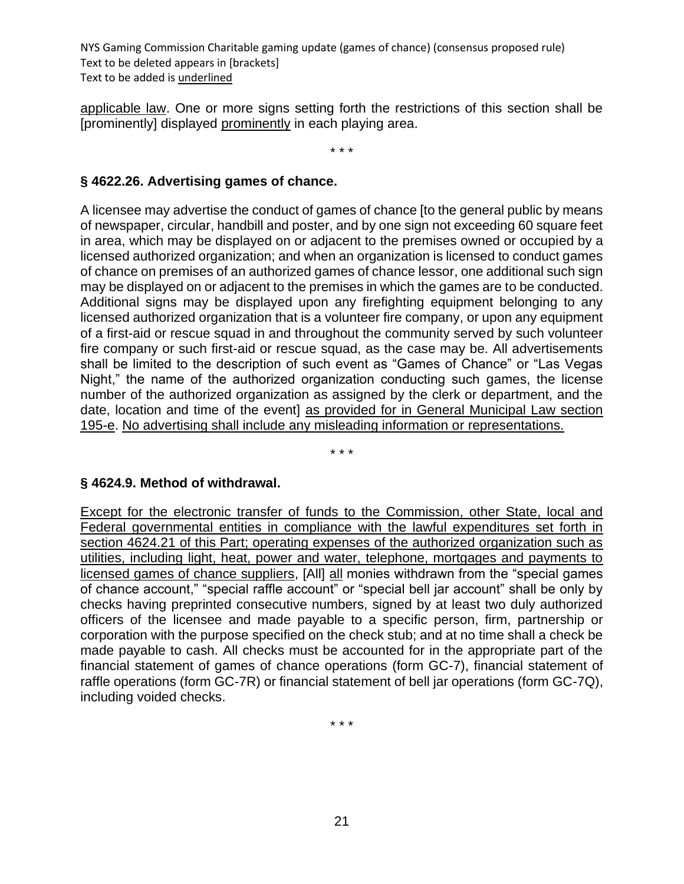applicable law. One or more signs setting forth the restrictions of this section shall be [prominently] displayed prominently in each playing area.

\* \* \*

### **§ 4622.26. Advertising games of chance.**

A licensee may advertise the conduct of games of chance [to the general public by means of newspaper, circular, handbill and poster, and by one sign not exceeding 60 square feet in area, which may be displayed on or adjacent to the premises owned or occupied by a licensed authorized organization; and when an organization is licensed to conduct games of chance on premises of an authorized games of chance lessor, one additional such sign may be displayed on or adjacent to the premises in which the games are to be conducted. Additional signs may be displayed upon any firefighting equipment belonging to any licensed authorized organization that is a volunteer fire company, or upon any equipment of a first-aid or rescue squad in and throughout the community served by such volunteer fire company or such first-aid or rescue squad, as the case may be. All advertisements shall be limited to the description of such event as "Games of Chance" or "Las Vegas Night," the name of the authorized organization conducting such games, the license number of the authorized organization as assigned by the clerk or department, and the date, location and time of the event] as provided for in General Municipal Law section 195-e. No advertising shall include any misleading information or representations.

\* \* \*

#### **§ 4624.9. Method of withdrawal.**

Except for the electronic transfer of funds to the Commission, other State, local and Federal governmental entities in compliance with the lawful expenditures set forth in section 4624.21 of this Part; operating expenses of the authorized organization such as utilities, including light, heat, power and water, telephone, mortgages and payments to licensed games of chance suppliers, [All] all monies withdrawn from the "special games of chance account," "special raffle account" or "special bell jar account" shall be only by checks having preprinted consecutive numbers, signed by at least two duly authorized officers of the licensee and made payable to a specific person, firm, partnership or corporation with the purpose specified on the check stub; and at no time shall a check be made payable to cash. All checks must be accounted for in the appropriate part of the financial statement of games of chance operations (form GC-7), financial statement of raffle operations (form GC-7R) or financial statement of bell jar operations (form GC-7Q), including voided checks.

\* \* \*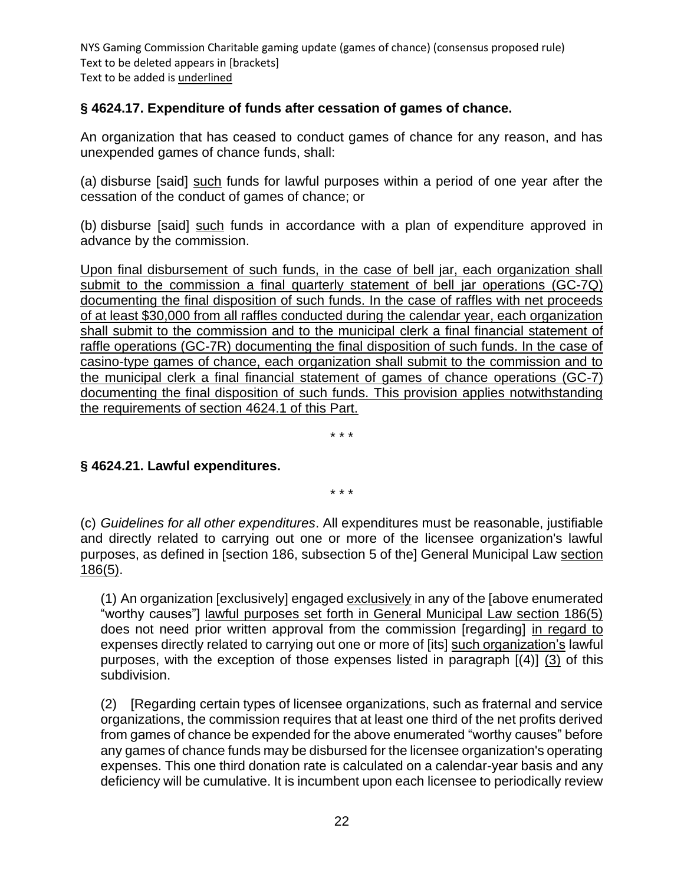## **§ 4624.17. Expenditure of funds after cessation of games of chance.**

An organization that has ceased to conduct games of chance for any reason, and has unexpended games of chance funds, shall:

(a) disburse [said] such funds for lawful purposes within a period of one year after the cessation of the conduct of games of chance; or

(b) disburse [said] such funds in accordance with a plan of expenditure approved in advance by the commission.

Upon final disbursement of such funds, in the case of bell jar, each organization shall submit to the commission a final quarterly statement of bell jar operations (GC-7Q) documenting the final disposition of such funds. In the case of raffles with net proceeds of at least \$30,000 from all raffles conducted during the calendar year, each organization shall submit to the commission and to the municipal clerk a final financial statement of raffle operations (GC-7R) documenting the final disposition of such funds. In the case of casino-type games of chance, each organization shall submit to the commission and to the municipal clerk a final financial statement of games of chance operations (GC-7) documenting the final disposition of such funds. This provision applies notwithstanding the requirements of section 4624.1 of this Part.

\* \* \*

#### **§ 4624.21. Lawful expenditures.**

\* \* \*

(c) *Guidelines for all other expenditures*. All expenditures must be reasonable, justifiable and directly related to carrying out one or more of the licensee organization's lawful purposes, as defined in [section 186, subsection 5 of the] General Municipal Law section 186(5).

(1) An organization [exclusively] engaged exclusively in any of the [above enumerated "worthy causes"] lawful purposes set forth in General Municipal Law section 186(5) does not need prior written approval from the commission [regarding] in regard to expenses directly related to carrying out one or more of [its] such organization's lawful purposes, with the exception of those expenses listed in paragraph [(4)] (3) of this subdivision.

(2) [Regarding certain types of licensee organizations, such as fraternal and service organizations, the commission requires that at least one third of the net profits derived from games of chance be expended for the above enumerated "worthy causes" before any games of chance funds may be disbursed for the licensee organization's operating expenses. This one third donation rate is calculated on a calendar-year basis and any deficiency will be cumulative. It is incumbent upon each licensee to periodically review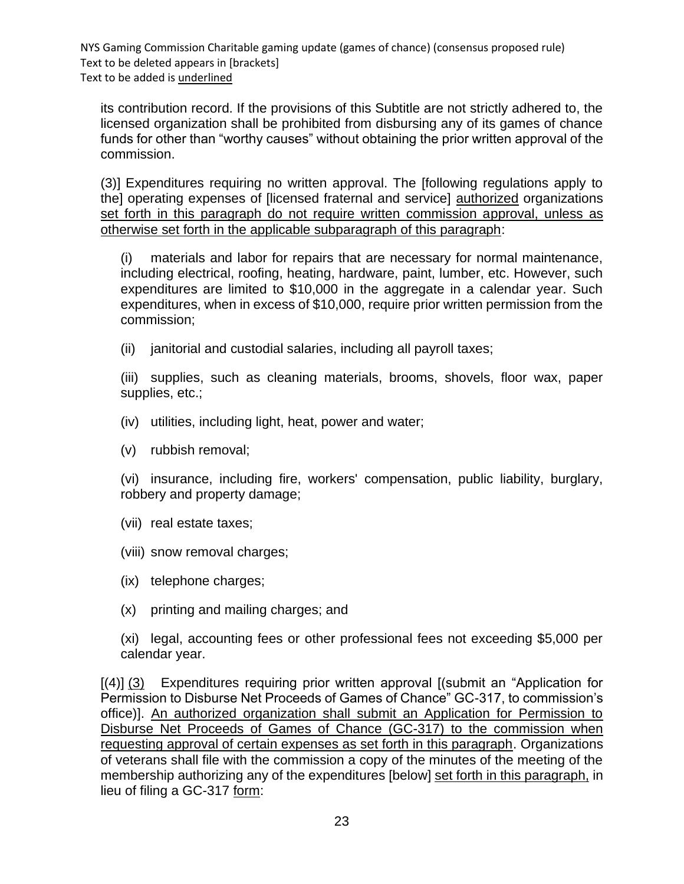its contribution record. If the provisions of this Subtitle are not strictly adhered to, the licensed organization shall be prohibited from disbursing any of its games of chance funds for other than "worthy causes" without obtaining the prior written approval of the commission.

(3)] Expenditures requiring no written approval. The [following regulations apply to the] operating expenses of [licensed fraternal and service] authorized organizations set forth in this paragraph do not require written commission approval, unless as otherwise set forth in the applicable subparagraph of this paragraph:

(i) materials and labor for repairs that are necessary for normal maintenance, including electrical, roofing, heating, hardware, paint, lumber, etc. However, such expenditures are limited to \$10,000 in the aggregate in a calendar year. Such expenditures, when in excess of \$10,000, require prior written permission from the commission;

(ii) janitorial and custodial salaries, including all payroll taxes;

(iii) supplies, such as cleaning materials, brooms, shovels, floor wax, paper supplies, etc.;

- (iv) utilities, including light, heat, power and water;
- (v) rubbish removal;

(vi) insurance, including fire, workers' compensation, public liability, burglary, robbery and property damage;

(vii) real estate taxes;

(viii) snow removal charges;

- (ix) telephone charges;
- (x) printing and mailing charges; and

(xi) legal, accounting fees or other professional fees not exceeding \$5,000 per calendar year.

[(4)] (3) Expenditures requiring prior written approval [(submit an "Application for Permission to Disburse Net Proceeds of Games of Chance" GC-317, to commission's office)]. An authorized organization shall submit an Application for Permission to Disburse Net Proceeds of Games of Chance (GC-317) to the commission when requesting approval of certain expenses as set forth in this paragraph. Organizations of veterans shall file with the commission a copy of the minutes of the meeting of the membership authorizing any of the expenditures [below] set forth in this paragraph, in lieu of filing a GC-317 form: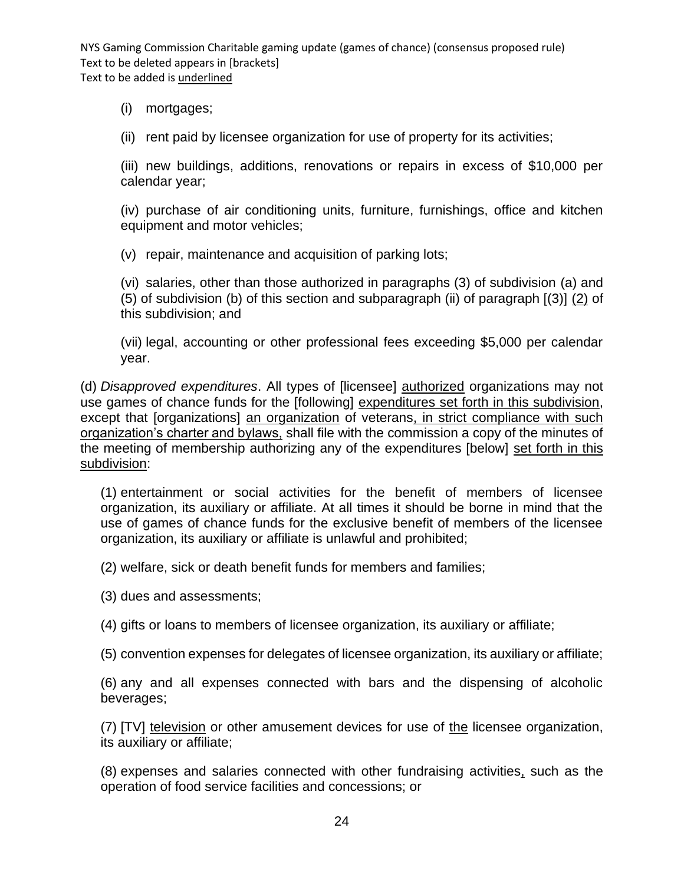(i) mortgages;

(ii) rent paid by licensee organization for use of property for its activities;

(iii) new buildings, additions, renovations or repairs in excess of \$10,000 per calendar year;

(iv) purchase of air conditioning units, furniture, furnishings, office and kitchen equipment and motor vehicles;

(v) repair, maintenance and acquisition of parking lots;

(vi) salaries, other than those authorized in paragraphs (3) of subdivision (a) and (5) of subdivision (b) of this section and subparagraph (ii) of paragraph  $(3)$   $(2)$  of this subdivision; and

(vii) legal, accounting or other professional fees exceeding \$5,000 per calendar year.

(d) *Disapproved expenditures*. All types of [licensee] authorized organizations may not use games of chance funds for the [following] expenditures set forth in this subdivision, except that [organizations] an organization of veterans, in strict compliance with such organization's charter and bylaws, shall file with the commission a copy of the minutes of the meeting of membership authorizing any of the expenditures [below] set forth in this subdivision:

(1) entertainment or social activities for the benefit of members of licensee organization, its auxiliary or affiliate. At all times it should be borne in mind that the use of games of chance funds for the exclusive benefit of members of the licensee organization, its auxiliary or affiliate is unlawful and prohibited;

(2) welfare, sick or death benefit funds for members and families;

(3) dues and assessments;

(4) gifts or loans to members of licensee organization, its auxiliary or affiliate;

(5) convention expenses for delegates of licensee organization, its auxiliary or affiliate;

(6) any and all expenses connected with bars and the dispensing of alcoholic beverages;

(7) [TV] television or other amusement devices for use of the licensee organization, its auxiliary or affiliate;

(8) expenses and salaries connected with other fundraising activities, such as the operation of food service facilities and concessions; or